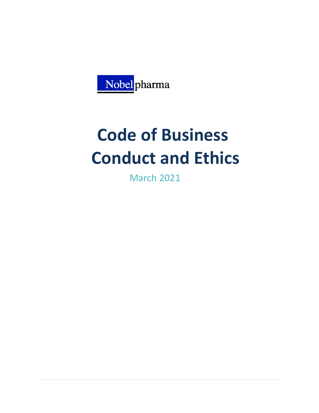

# **Code of Business Conduct and Ethics**

March 2021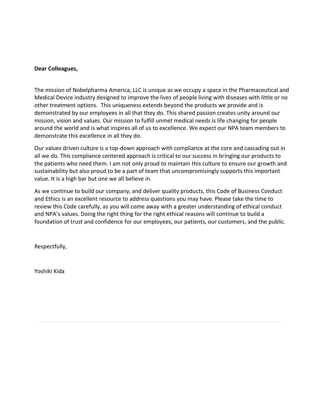#### **Dear Colleagues,**

The mission of Nobelpharma America, LLC is unique as we occupy a space in the Pharmaceutical and Medical Device industry designed to improve the lives of people living with diseases with little or no other treatment options. This uniqueness extends beyond the products we provide and is demonstrated by our employees in all that they do. This shared passion creates unity around our mission, vision and values. Our mission to fulfill unmet medical needs is life changing for people around the world and is what inspires all of us to excellence. We expect our NPA team members to demonstrate this excellence in all they do.

Our values driven culture is a top-down approach with compliance at the core and cascading out in all we do. This compliance centered approach is critical to our success in bringing our products to the patients who need them. I am not only proud to maintain this culture to ensure our growth and sustainability but also proud to be a part of team that uncompromisingly supports this important value. It is a high bar but one we all believe in.

As we continue to build our company, and deliver quality products, this Code of Business Conduct and Ethics is an excellent resource to address questions you may have. Please take the time to review this Code carefully, as you will come away with a greater understanding of ethical conduct and NPA's values. Doing the right thing for the right ethical reasons will continue to build a foundation of trust and confidence for our employees, our patients, our customers, and the public.

Respectfully,

Yoshiki Kida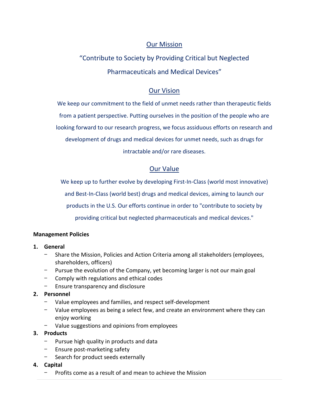# Our Mission

# "Contribute to Society by Providing Critical but Neglected

Pharmaceuticals and Medical Devices"

# Our Vision

We keep our commitment to the field of unmet needs rather than therapeutic fields from a patient perspective. Putting ourselves in the position of the people who are looking forward to our research progress, we focus assiduous efforts on research and development of drugs and medical devices for unmet needs, such as drugs for

intractable and/or rare diseases.

# Our Value

We keep up to further evolve by developing First-In-Class (world most innovative)

and Best-In-Class (world best) drugs and medical devices, aiming to launch our

products in the U.S. Our efforts continue in order to "contribute to society by

providing critical but neglected pharmaceuticals and medical devices."

# **Management Policies**

# **1. General**

- Share the Mission, Policies and Action Criteria among all stakeholders (employees, shareholders, officers)
- Pursue the evolution of the Company, yet becoming larger is not our main goal
- Comply with regulations and ethical codes
- Ensure transparency and disclosure

# **2. Personnel**

- Value employees and families, and respect self-development
- Value employees as being a select few, and create an environment where they can enjoy working
- Value suggestions and opinions from employees

# **3. Products**

- Pursue high quality in products and data
- Ensure post-marketing safety
- Search for product seeds externally
- **4. Capital**
	- Profits come as a result of and mean to achieve the Mission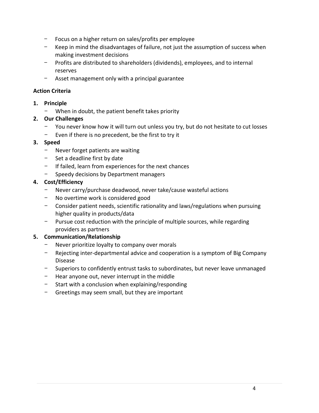- Focus on a higher return on sales/profits per employee
- Keep in mind the disadvantages of failure, not just the assumption of success when making investment decisions
- Profits are distributed to shareholders (dividends), employees, and to internal reserves
- Asset management only with a principal guarantee

#### **Action Criteria**

- **1. Principle**
	- When in doubt, the patient benefit takes priority
- **2. Our Challenges**
	- You never know how it will turn out unless you try, but do not hesitate to cut losses
	- Even if there is no precedent, be the first to try it

#### **3. Speed**

- Never forget patients are waiting
- Set a deadline first by date
- If failed, learn from experiences for the next chances
- Speedy decisions by Department managers

# **4. Cost/Efficiency**

- Never carry/purchase deadwood, never take/cause wasteful actions
- No overtime work is considered good
- Consider patient needs, scientific rationality and laws/regulations when pursuing higher quality in products/data
- Pursue cost reduction with the principle of multiple sources, while regarding providers as partners

# **5. Communication/Relationship**

- Never prioritize loyalty to company over morals
- Rejecting inter-departmental advice and cooperation is a symptom of Big Company Disease
- Superiors to confidently entrust tasks to subordinates, but never leave unmanaged
- Hear anyone out, never interrupt in the middle
- Start with a conclusion when explaining/responding
- Greetings may seem small, but they are important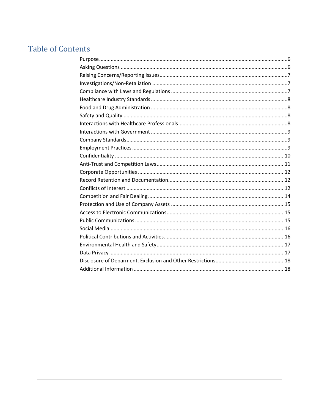# **Table of Contents**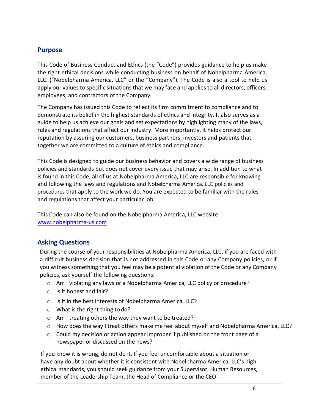# <span id="page-5-0"></span>**Purpose**

This Code of Business Conduct and Ethics (the "Code") provides guidance to help us make the right ethical decisions while conducting business on behalf of Nobelpharma America, LLC. ("Nobelpharma America, LLC" or the "Company"). The Code is also a tool to help us apply our values to specific situations that we may face and applies to all directors, officers, employees, and contractors of the Company.

The Company has issued this Code to reflect its firm commitment to compliance and to demonstrate its belief in the highest standards of ethics and integrity. It also serves as a guide to help us achieve our goals and set expectations by highlighting many of the laws, rules and regulations that affect our industry. More importantly, it helps protect our reputation by assuring our customers, business partners, investors and patients that together we are committed to a culture of ethics and compliance.

This Code is designed to guide our business behavior and covers a wide range of business policies and standards but does not cover every issue that may arise. In addition to what is found in this Code, all of us at Nobelpharma America, LLC are responsible for knowing and following the laws and regulations and Nobelpharma America, LLC policies and procedures that apply to the work we do. You are expected to be familiar with the rules and regulations that affect your particular job.

This Code can also be found on the Nobelpharma America, LLC website [www.nobelpharma-us.com](http://www.nobelpharma-us.com/)

# <span id="page-5-1"></span>**Asking Questions**

During the course of your responsibilities at Nobelpharma America, LLC, if you are faced with a difficult business decision that is not addressed in this Code or any Company policies, or if you witness something that you feel may be a potential violation of the Code or any Company policies, ask yourself the following questions:

- o Am I violating any laws or a Nobelpharma America, LLC policy or procedure?
- o Is it honest and fair?
- o Is it in the best interests of Nobelpharma America, LLC?
- o What is the right thing to do?
- o Am I treating others the way they want to be treated?
- o How does the way I treat others make me feel about myself and Nobelpharma America, LLC?
- $\circ$  Could my decision or action appear improper if published on the front page of a newspaper or discussed on the news?

If you know it is wrong, do not do it. If you feel uncomfortable about a situation or have any doubt about whether it is consistent with Nobelpharma America, LLC's high ethical standards, you should seek guidance from your Supervisor, Human Resources, member of the Leadership Team, the Head of Compliance or the CEO.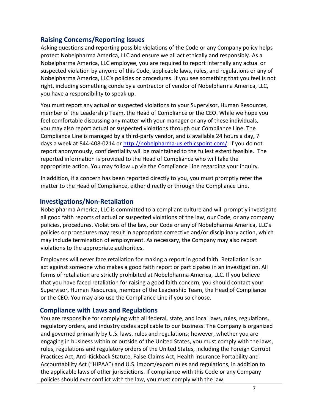# <span id="page-6-0"></span>**Raising Concerns/Reporting Issues**

Asking questions and reporting possible violations of the Code or any Company policy helps protect Nobelpharma America, LLC and ensure we all act ethically and responsibly. As a Nobelpharma America, LLC employee, you are required to report internally any actual or suspected violation by anyone of this Code, applicable laws, rules, and regulations or any of Nobelpharma America, LLC's policies or procedures. If you see something that you feel is not right, including something conde by a contractor of vendor of Nobelpharma America, LLC, you have a responsibility to speak up.

You must report any actual or suspected violations to your Supervisor, Human Resources, member of the Leadership Team, the Head of Compliance or the CEO. While we hope you feel comfortable discussing any matter with your manager or any of these individuals, you may also report actual or suspected violations through our Compliance Line. The Compliance Line is managed by a third-party vendor, and is available 24 hours a day, 7 days a week at 844-408-0214 or [http://nobelpharma-us.ethicspoint.com/.](http://nobelpharma-us.ethicspoint.com/) If you do not report anonymously, confidentiality will be maintained to the fullest extent feasible. The reported information is provided to the Head of Compliance who will take the appropriate action. You may follow up via the Compliance Line regarding your inquiry.

In addition, if a concern has been reported directly to you, you must promptly refer the matter to the Head of Compliance, either directly or through the Compliance Line.

# <span id="page-6-1"></span>**Investigations/Non-Retaliation**

Nobelpharma America, LLC is committed to a compliant culture and will promptly investigate all good faith reports of actual or suspected violations of the law, our Code, or any company policies, procedures. Violations of the law, our Code or any of Nobelpharma America, LLC's policies or procedures may result in appropriate corrective and/or disciplinary action, which may include termination of employment. As necessary, the Company may also report violations to the appropriate authorities.

Employees will never face retaliation for making a report in good faith. Retaliation is an act against someone who makes a good faith report or participates in an investigation. All forms of retaliation are strictly prohibited at Nobelpharma America, LLC. If you believe that you have faced retaliation for raising a good faith concern, you should contact your Supervisor, Human Resources, member of the Leadership Team, the Head of Compliance or the CEO. You may also use the Compliance Line if you so choose.

# <span id="page-6-2"></span>**Compliance with Laws and Regulations**

You are responsible for complying with all federal, state, and local laws, rules, regulations, regulatory orders, and industry codes applicable to our business. The Company is organized and governed primarily by U.S. laws, rules and regulations; however, whether you are engaging in business within or outside of the United States, you must comply with the laws, rules, regulations and regulatory orders of the United States, including the Foreign Corrupt Practices Act, Anti-Kickback Statute, False Claims Act, Health Insurance Portability and Accountability Act ("HIPAA") and U.S. import/export rules and regulations, in addition to the applicable laws of other jurisdictions. If compliance with this Code or any Company policies should ever conflict with the law, you must comply with the law.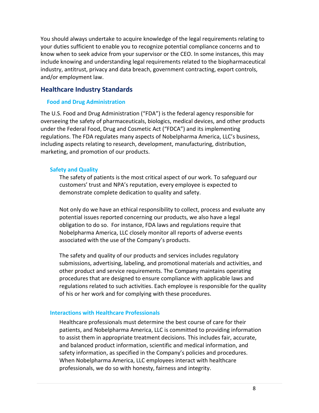You should always undertake to acquire knowledge of the legal requirements relating to your duties sufficient to enable you to recognize potential compliance concerns and to know when to seek advice from your supervisor or the CEO. In some instances, this may include knowing and understanding legal requirements related to the biopharmaceutical industry, antitrust, privacy and data breach, government contracting, export controls, and/or employment law.

# <span id="page-7-1"></span><span id="page-7-0"></span>**Healthcare Industry Standards**

#### **Food and Drug Administration**

The U.S. Food and Drug Administration ("FDA") is the federal agency responsible for overseeing the safety of pharmaceuticals, biologics, medical devices, and other products under the Federal Food, Drug and Cosmetic Act ("FDCA") and its implementing regulations. The FDA regulates many aspects of Nobelpharma America, LLC's business, including aspects relating to research, development, manufacturing, distribution, marketing, and promotion of our products.

#### <span id="page-7-2"></span>**Safety and Quality**

The safety of patients is the most critical aspect of our work. To safeguard our customers' trust and NPA's reputation, every employee is expected to demonstrate complete dedication to quality and safety.

Not only do we have an ethical responsibility to collect, process and evaluate any potential issues reported concerning our products, we also have a legal obligation to do so. For instance, FDA laws and regulations require that Nobelpharma America, LLC closely monitor all reports of adverse events associated with the use of the Company's products.

The safety and quality of our products and services includes regulatory submissions, advertising, labeling, and promotional materials and activities, and other product and service requirements. The Company maintains operating procedures that are designed to ensure compliance with applicable laws and regulations related to such activities. Each employee is responsible for the quality of his or her work and for complying with these procedures.

#### <span id="page-7-3"></span>**Interactions with Healthcare Professionals**

Healthcare professionals must determine the best course of care for their patients, and Nobelpharma America, LLC is committed to providing information to assist them in appropriate treatment decisions. This includes fair, accurate, and balanced product information, scientific and medical information, and safety information, as specified in the Company's policies and procedures. When Nobelpharma America, LLC employees interact with healthcare professionals, we do so with honesty, fairness and integrity.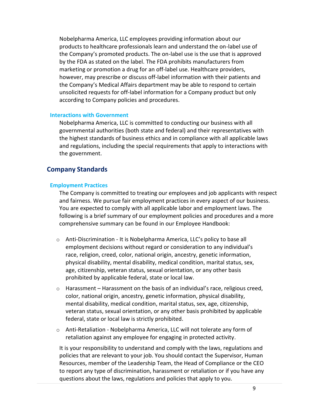Nobelpharma America, LLC employees providing information about our products to healthcare professionals learn and understand the on-label use of the Company's promoted products. The on-label use is the use that is approved by the FDA as stated on the label. The FDA prohibits manufacturers from marketing or promotion a drug for an off-label use. Healthcare providers, however, may prescribe or discuss off-label information with their patients and the Company's Medical Affairs department may be able to respond to certain unsolicited requests for off-label information for a Company product but only according to Company policies and procedures.

#### <span id="page-8-0"></span>**Interactions with Government**

Nobelpharma America, LLC is committed to conducting our business with all governmental authorities (both state and federal) and their representatives with the highest standards of business ethics and in compliance with all applicable laws and regulations, including the special requirements that apply to interactions with the government.

# <span id="page-8-2"></span><span id="page-8-1"></span>**Company Standards**

#### **Employment Practices**

The Company is committed to treating our employees and job applicants with respect and fairness. We pursue fair employment practices in every aspect of our business. You are expected to comply with all applicable labor and employment laws. The following is a brief summary of our employment policies and procedures and a more comprehensive summary can be found in our Employee Handbook:

- $\circ$  Anti-Discrimination It is Nobelpharma America, LLC's policy to base all employment decisions without regard or consideration to any individual's race, religion, creed, color, national origin, ancestry, genetic information, physical disability, mental disability, medical condition, marital status, sex, age, citizenship, veteran status, sexual orientation, or any other basis prohibited by applicable federal, state or local law.
- $\circ$  Harassment Harassment on the basis of an individual's race, religious creed, color, national origin, ancestry, genetic information, physical disability, mental disability, medical condition, marital status, sex, age, citizenship, veteran status, sexual orientation, or any other basis prohibited by applicable federal, state or local law is strictly prohibited.
- o Anti-Retaliation Nobelpharma America, LLC will not tolerate any form of retaliation against any employee for engaging in protected activity.

It is your responsibility to understand and comply with the laws, regulations and policies that are relevant to your job. You should contact the Supervisor, Human Resources, member of the Leadership Team, the Head of Compliance or the CEO to report any type of discrimination, harassment or retaliation or if you have any questions about the laws, regulations and policies that apply to you.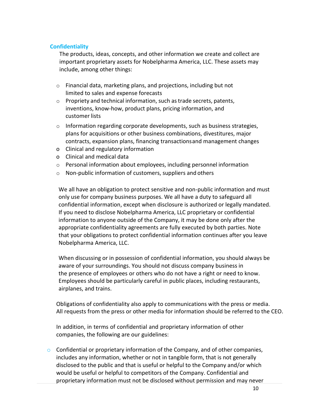#### <span id="page-9-0"></span>**Confidentiality**

The products, ideas, concepts, and other information we create and collect are important proprietary assets for Nobelpharma America, LLC. These assets may include, among other things:

- o Financial data, marketing plans, and projections, including but not limited to sales and expense forecasts
- $\circ$  Propriety and technical information, such as trade secrets, patents, inventions, know-how, product plans, pricing information, and customer lists
- o Information regarding corporate developments, such as business strategies, plans for acquisitions or other business combinations, divestitures, major contracts, expansion plans, financing transactionsand management changes
- o Clinical and regulatory information
- o Clinical and medical data
- $\circ$  Personal information about employees, including personnel information
- o Non-public information of customers, suppliers and others

We all have an obligation to protect sensitive and non-public information and must only use for company business purposes. We all have a duty to safeguard all confidential information, except when disclosure is authorized or legally mandated. If you need to disclose Nobelpharma America, LLC proprietary or confidential information to anyone outside of the Company, it may be done only after the appropriate confidentiality agreements are fully executed by both parties. Note that your obligations to protect confidential information continues after you leave Nobelpharma America, LLC.

When discussing or in possession of confidential information, you should always be aware of your surroundings. You should not discuss company business in the presence of employees or others who do not have a right or need to know. Employees should be particularly careful in public places, including restaurants, airplanes, and trains.

Obligations of confidentiality also apply to communications with the press or media. All requests from the press or other media for information should be referred to the CEO.

In addition, in terms of confidential and proprietary information of other companies, the following are our guidelines:

 $\circ$  Confidential or proprietary information of the Company, and of other companies, includes any information, whether or not in tangible form, that is not generally disclosed to the public and that is useful or helpful to the Company and/or which would be useful or helpful to competitors of the Company. Confidential and proprietary information must not be disclosed without permission and may never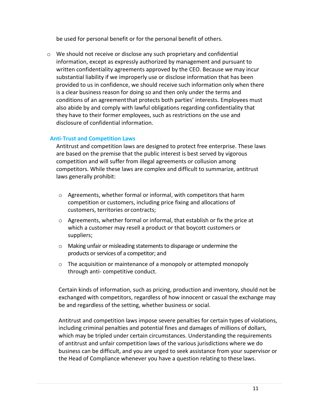be used for personal benefit or for the personal benefit of others.

o We should not receive or disclose any such proprietary and confidential information, except as expressly authorized by management and pursuant to written confidentiality agreements approved by the CEO. Because we may incur substantial liability if we improperly use or disclose information that has been provided to us in confidence, we should receive such information only when there is a clear business reason for doing so and then only under the terms and conditions of an agreementthat protects both parties' interests. Employees must also abide by and comply with lawful obligations regarding confidentiality that they have to their former employees, such as restrictions on the use and disclosure of confidential information.

#### <span id="page-10-0"></span>**Anti-Trust and Competition Laws**

Antitrust and competition laws are designed to protect free enterprise. These laws are based on the premise that the public interest is best served by vigorous competition and will suffer from illegal agreements or collusion among competitors. While these laws are complex and difficult to summarize, antitrust laws generally prohibit:

- o Agreements, whether formal or informal, with competitors that harm competition or customers, including price fixing and allocations of customers, territories or contracts;
- o Agreements, whether formal or informal, that establish or fix the price at which a customer may resell a product or that boycott customers or suppliers;
- o Making unfair or misleading statements to disparage or undermine the products or services of a competitor; and
- o The acquisition or maintenance of a monopoly or attempted monopoly through anti- competitive conduct.

Certain kinds of information, such as pricing, production and inventory, should not be exchanged with competitors, regardless of how innocent or casual the exchange may be and regardless of the setting, whether business or social.

Antitrust and competition laws impose severe penalties for certain types of violations, including criminal penalties and potential fines and damages of millions of dollars, which may be tripled under certain circumstances. Understanding the requirements of antitrust and unfair competition laws of the various jurisdictions where we do business can be difficult, and you are urged to seek assistance from your supervisor or the Head of Compliance whenever you have a question relating to these laws.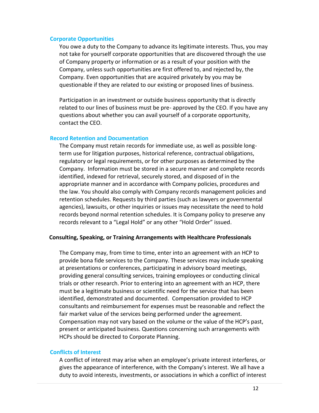#### <span id="page-11-0"></span>**Corporate Opportunities**

You owe a duty to the Company to advance its legitimate interests. Thus, you may not take for yourself corporate opportunities that are discovered through the use of Company property or information or as a result of your position with the Company, unless such opportunities are first offered to, and rejected by, the Company. Even opportunities that are acquired privately by you may be questionable if they are related to our existing or proposed lines of business.

Participation in an investment or outside business opportunity that is directly related to our lines of business must be pre- approved by the CEO. If you have any questions about whether you can avail yourself of a corporate opportunity, contact the CEO.

#### <span id="page-11-1"></span>**Record Retention and Documentation**

The Company must retain records for immediate use, as well as possible longterm use for litigation purposes, historical reference, contractual obligations, regulatory or legal requirements, or for other purposes as determined by the Company. Information must be stored in a secure manner and complete records identified, indexed for retrieval, securely stored, and disposed of in the appropriate manner and in accordance with Company policies, procedures and the law. You should also comply with Company records management policies and retention schedules. Requests by third parties (such as lawyers or governmental agencies), lawsuits, or other inquiries or issues may necessitate the need to hold records beyond normal retention schedules. It is Company policy to preserve any records relevant to a "Legal Hold" or any other "Hold Order" issued.

#### **Consulting, Speaking, or Training Arrangements with Healthcare Professionals**

The Company may, from time to time, enter into an agreement with an HCP to provide bona fide services to the Company. These services may include speaking at presentations or conferences, participating in advisory board meetings, providing general consulting services, training employees or conducting clinical trials or other research. Prior to entering into an agreement with an HCP, there must be a legitimate business or scientific need for the service that has been identified, demonstrated and documented. Compensation provided to HCP consultants and reimbursement for expenses must be reasonable and reflect the fair market value of the services being performed under the agreement. Compensation may not vary based on the volume or the value of the HCP's past, present or anticipated business. Questions concerning such arrangements with HCPs should be directed to Corporate Planning.

#### <span id="page-11-2"></span>**Conflicts of Interest**

A conflict of interest may arise when an employee's private interest interferes, or gives the appearance of interference, with the Company's interest. We all have a duty to avoid interests, investments, or associations in which a conflict of interest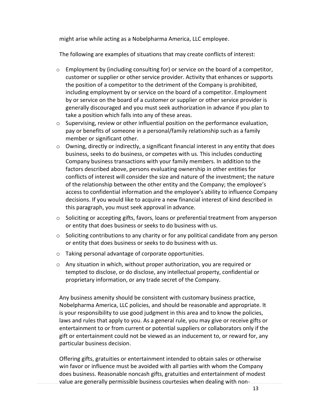might arise while acting as a Nobelpharma America, LLC employee.

The following are examples of situations that may create conflicts of interest:

- $\circ$  Employment by (including consulting for) or service on the board of a competitor, customer or supplier or other service provider. Activity that enhances or supports the position of a competitor to the detriment of the Company is prohibited, including employment by or service on the board of a competitor. Employment by or service on the board of a customer or supplier or other service provider is generally discouraged and you must seek authorization in advance if you plan to take a position which falls into any of these areas.
- o Supervising, review or other influential position on the performance evaluation, pay or benefits of someone in a personal/family relationship such as a family member or significant other.
- o Owning, directly or indirectly, a significant financial interest in any entity that does business, seeks to do business, or competes with us. This includes conducting Company business transactions with your family members. In addition to the factors described above, persons evaluating ownership in other entities for conflicts of interest will consider the size and nature of the investment; the nature of the relationship between the other entity and the Company; the employee's access to confidential information and the employee's ability to influence Company decisions. If you would like to acquire a new financial interest of kind described in this paragraph, you must seek approval in advance.
- o Soliciting or accepting gifts, favors, loans or preferential treatment from anyperson or entity that does business or seeks to do business with us.
- $\circ$  Soliciting contributions to any charity or for any political candidate from any person or entity that does business or seeks to do business with us.
- o Taking personal advantage of corporate opportunities.
- $\circ$  Any situation in which, without proper authorization, you are required or tempted to disclose, or do disclose, any intellectual property, confidential or proprietary information, or any trade secret of the Company.

Any business amenity should be consistent with customary business practice, Nobelpharma America, LLC policies, and should be reasonable and appropriate. It is your responsibility to use good judgment in this area and to know the policies, laws and rules that apply to you. As a general rule, you may give or receive gifts or entertainment to or from current or potential suppliers or collaborators only if the gift or entertainment could not be viewed as an inducement to, or reward for, any particular business decision.

Offering gifts, gratuities or entertainment intended to obtain sales or otherwise win favor or influence must be avoided with all parties with whom the Company does business. Reasonable noncash gifts, gratuities and entertainment of modest value are generally permissible business courtesies when dealing with non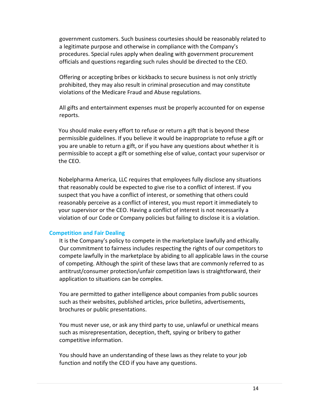government customers. Such business courtesies should be reasonably related to a legitimate purpose and otherwise in compliance with the Company's procedures. Special rules apply when dealing with government procurement officials and questions regarding such rules should be directed to the CEO.

Offering or accepting bribes or kickbacks to secure business is not only strictly prohibited, they may also result in criminal prosecution and may constitute violations of the Medicare Fraud and Abuse regulations.

All gifts and entertainment expenses must be properly accounted for on expense reports.

You should make every effort to refuse or return a gift that is beyond these permissible guidelines. If you believe it would be inappropriate to refuse a gift or you are unable to return a gift, or if you have any questions about whether it is permissible to accept a gift or something else of value, contact your supervisor or the CEO.

Nobelpharma America, LLC requires that employees fully disclose any situations that reasonably could be expected to give rise to a conflict of interest. If you suspect that you have a conflict of interest, or something that others could reasonably perceive as a conflict of interest, you must report it immediately to your supervisor or the CEO. Having a conflict of interest is not necessarily a violation of our Code or Company policies but failing to disclose it is a violation.

#### <span id="page-13-0"></span>**Competition and Fair Dealing**

It is the Company's policy to compete in the marketplace lawfully and ethically. Our commitment to fairness includes respecting the rights of our competitors to compete lawfully in the marketplace by abiding to all applicable laws in the course of competing. Although the spirit of these laws that are commonly referred to as antitrust/consumer protection/unfair competition laws is straightforward, their application to situations can be complex.

You are permitted to gather intelligence about companies from public sources such as their websites, published articles, price bulletins, advertisements, brochures or public presentations.

You must never use, or ask any third party to use, unlawful or unethical means such as misrepresentation, deception, theft, spying or bribery to gather competitive information.

<span id="page-13-1"></span>You should have an understanding of these laws as they relate to your job function and notify the CEO if you have any questions.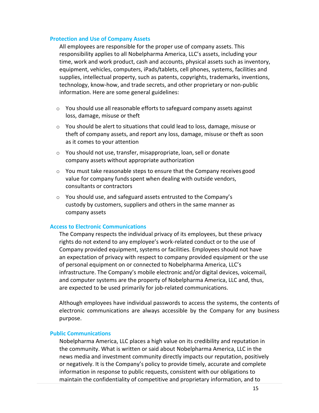#### **Protection and Use of Company Assets**

All employees are responsible for the proper use of company assets. This responsibility applies to all Nobelpharma America, LLC's assets, including your time, work and work product, cash and accounts, physical assets such as inventory, equipment, vehicles, computers, iPads/tablets, cell phones, systems, facilities and supplies, intellectual property, such as patents, copyrights, trademarks, inventions, technology, know-how, and trade secrets, and other proprietary or non-public information. Here are some general guidelines:

- $\circ$  You should use all reasonable efforts to safeguard company assets against loss, damage, misuse or theft
- $\circ$  You should be alert to situations that could lead to loss, damage, misuse or theft of company assets, and report any loss, damage, misuse or theft as soon as it comes to your attention
- o You should not use, transfer, misappropriate, loan, sell or donate company assets without appropriate authorization
- $\circ$  You must take reasonable steps to ensure that the Company receives good value for company funds spent when dealing with outside vendors, consultants or contractors
- o You should use, and safeguard assets entrusted to the Company's custody by customers, suppliers and others in the same manner as company assets

#### <span id="page-14-0"></span>**Access to Electronic Communications**

The Company respects the individual privacy of its employees, but these privacy rights do not extend to any employee's work-related conduct or to the use of Company provided equipment, systems or facilities. Employees should not have an expectation of privacy with respect to company provided equipment or the use of personal equipment on or connected to Nobelpharma America, LLC's infrastructure. The Company's mobile electronic and/or digital devices, voicemail, and computer systems are the property of Nobelpharma America, LLC and, thus, are expected to be used primarily for job-related communications.

Although employees have individual passwords to access the systems, the contents of electronic communications are always accessible by the Company for any business purpose.

#### <span id="page-14-1"></span>**Public Communications**

Nobelpharma America, LLC places a high value on its credibility and reputation in the community. What is written or said about Nobelpharma America, LLC in the news media and investment community directly impacts our reputation, positively or negatively. It is the Company's policy to provide timely, accurate and complete information in response to public requests, consistent with our obligations to maintain the confidentiality of competitive and proprietary information, and to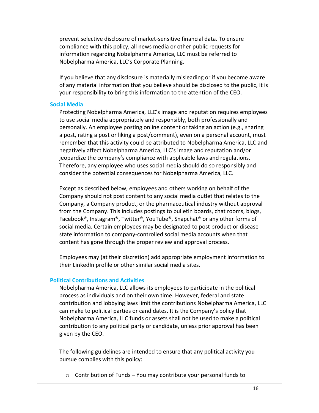prevent selective disclosure of market-sensitive financial data. To ensure compliance with this policy, all news media or other public requests for information regarding Nobelpharma America, LLC must be referred to Nobelpharma America, LLC's Corporate Planning.

If you believe that any disclosure is materially misleading or if you become aware of any material information that you believe should be disclosed to the public, it is your responsibility to bring this information to the attention of the CEO.

#### <span id="page-15-0"></span>**Social Media**

Protecting Nobelpharma America, LLC's image and reputation requires employees to use social media appropriately and responsibly, both professionally and personally. An employee posting online content or taking an action (e.g., sharing a post, rating a post or liking a post/comment), even on a personal account, must remember that this activity could be attributed to Nobelpharma America, LLC and negatively affect Nobelpharma America, LLC's image and reputation and/or jeopardize the company's compliance with applicable laws and regulations. Therefore, any employee who uses social media should do so responsibly and consider the potential consequences for Nobelpharma America, LLC.

Except as described below, employees and others working on behalf of the Company should not post content to any social media outlet that relates to the Company, a Company product, or the pharmaceutical industry without approval from the Company. This includes postings to bulletin boards, chat rooms, blogs, Facebook®, Instagram®, Twitter®, YouTube®, Snapchat® or any other forms of social media. Certain employees may be designated to post product or disease state information to company-controlled social media accounts when that content has gone through the proper review and approval process.

Employees may (at their discretion) add appropriate employment information to their LinkedIn profile or other similar social media sites.

#### <span id="page-15-1"></span>**Political Contributions and Activities**

Nobelpharma America, LLC allows its employees to participate in the political process as individuals and on their own time. However, federal and state contribution and lobbying laws limit the contributions Nobelpharma America, LLC can make to political parties or candidates. It is the Company's policy that Nobelpharma America, LLC funds or assets shall not be used to make a political contribution to any political party or candidate, unless prior approval has been given by the CEO.

The following guidelines are intended to ensure that any political activity you pursue complies with this policy:

 $\circ$  Contribution of Funds – You may contribute your personal funds to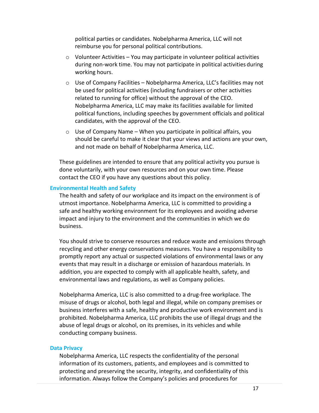political parties or candidates. Nobelpharma America, LLC will not reimburse you for personal political contributions.

- o Volunteer Activities You may participate in volunteer political activities during non-work time. You may not participate in political activities during working hours.
- o Use of Company Facilities Nobelpharma America, LLC's facilities may not be used for political activities (including fundraisers or other activities related to running for office) without the approval of the CEO. Nobelpharma America, LLC may make its facilities available for limited political functions, including speeches by government officials and political candidates, with the approval of the CEO.
- o Use of Company Name When you participate in political affairs, you should be careful to make it clear that your views and actions are your own, and not made on behalf of Nobelpharma America, LLC.

These guidelines are intended to ensure that any political activity you pursue is done voluntarily, with your own resources and on your own time. Please contact the CEO if you have any questions about this policy.

#### <span id="page-16-0"></span>**Environmental Health and Safety**

The health and safety of our workplace and its impact on the environment is of utmost importance. Nobelpharma America, LLC is committed to providing a safe and healthy working environment for its employees and avoiding adverse impact and injury to the environment and the communities in which we do business.

You should strive to conserve resources and reduce waste and emissions through recycling and other energy conservations measures. You have a responsibility to promptly report any actual or suspected violations of environmental laws or any events that may result in a discharge or emission of hazardous materials. In addition, you are expected to comply with all applicable health, safety, and environmental laws and regulations, as well as Company policies.

Nobelpharma America, LLC is also committed to a drug-free workplace. The misuse of drugs or alcohol, both legal and illegal, while on company premises or business interferes with a safe, healthy and productive work environment and is prohibited. Nobelpharma America, LLC prohibits the use of illegal drugs and the abuse of legal drugs or alcohol, on its premises, in its vehicles and while conducting company business.

#### <span id="page-16-1"></span>**Data Privacy**

Nobelpharma America, LLC respects the confidentiality of the personal information of its customers, patients, and employees and is committed to protecting and preserving the security, integrity, and confidentiality of this information. Always follow the Company's policies and procedures for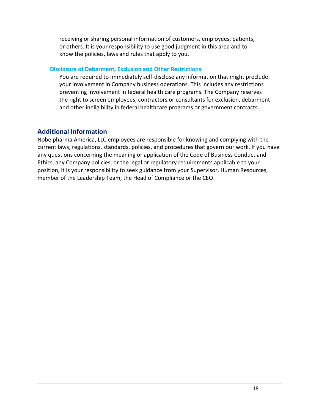receiving or sharing personal information of customers, employees, patients, or others. It is your responsibility to use good judgment in this area and to know the policies, laws and rules that apply to you.

#### <span id="page-17-0"></span>**Disclosure of Debarment, Exclusion and Other Restrictions**

You are required to immediately self-disclose any information that might preclude your involvement in Company business operations. This includes any restrictions preventing involvement in federal health care programs. The Company reserves the right to screen employees, contractors or consultants for exclusion, debarment and other ineligibility in federal healthcare programs or government contracts.

# <span id="page-17-1"></span>**Additional Information**

Nobelpharma America, LLC employees are responsible for knowing and complying with the current laws, regulations, standards, policies, and procedures that govern our work. If you have any questions concerning the meaning or application of the Code of Business Conduct and Ethics, any Company policies, or the legal or regulatory requirements applicable to your position, it is your responsibility to seek guidance from your Supervisor, Human Resources, member of the Leadership Team, the Head of Compliance or the CEO.